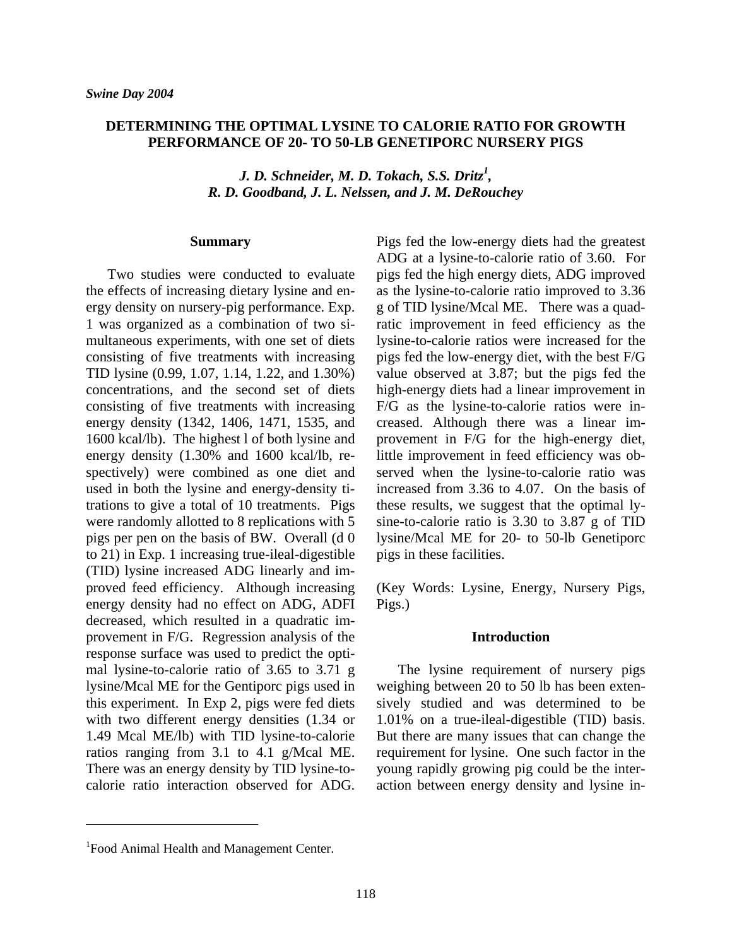# **DETERMINING THE OPTIMAL LYSINE TO CALORIE RATIO FOR GROWTH PERFORMANCE OF 20- TO 50-LB GENETIPORC NURSERY PIGS**

*J. D. Schneider, M. D. Tokach, S.S. Dritz<sup>1</sup> , R. D. Goodband, J. L. Nelssen, and J. M. DeRouchey* 

#### **Summary**

 Two studies were conducted to evaluate the effects of increasing dietary lysine and energy density on nursery-pig performance. Exp. 1 was organized as a combination of two simultaneous experiments, with one set of diets consisting of five treatments with increasing TID lysine (0.99, 1.07, 1.14, 1.22, and 1.30%) concentrations, and the second set of diets consisting of five treatments with increasing energy density (1342, 1406, 1471, 1535, and 1600 kcal/lb). The highest l of both lysine and energy density (1.30% and 1600 kcal/lb, respectively) were combined as one diet and used in both the lysine and energy-density titrations to give a total of 10 treatments. Pigs were randomly allotted to 8 replications with 5 pigs per pen on the basis of BW. Overall (d 0 to 21) in Exp. 1 increasing true-ileal-digestible (TID) lysine increased ADG linearly and improved feed efficiency. Although increasing energy density had no effect on ADG, ADFI decreased, which resulted in a quadratic improvement in F/G. Regression analysis of the response surface was used to predict the optimal lysine-to-calorie ratio of 3.65 to 3.71 g lysine/Mcal ME for the Gentiporc pigs used in this experiment. In Exp 2, pigs were fed diets with two different energy densities (1.34 or 1.49 Mcal ME/lb) with TID lysine-to-calorie ratios ranging from 3.1 to 4.1 g/Mcal ME. There was an energy density by TID lysine-tocalorie ratio interaction observed for ADG.

Pigs fed the low-energy diets had the greatest ADG at a lysine-to-calorie ratio of 3.60. For pigs fed the high energy diets, ADG improved as the lysine-to-calorie ratio improved to 3.36 g of TID lysine/Mcal ME. There was a quadratic improvement in feed efficiency as the lysine-to-calorie ratios were increased for the pigs fed the low-energy diet, with the best F/G value observed at 3.87; but the pigs fed the high-energy diets had a linear improvement in F/G as the lysine-to-calorie ratios were increased. Although there was a linear improvement in F/G for the high-energy diet, little improvement in feed efficiency was observed when the lysine-to-calorie ratio was increased from 3.36 to 4.07. On the basis of these results, we suggest that the optimal lysine-to-calorie ratio is 3.30 to 3.87 g of TID lysine/Mcal ME for 20- to 50-lb Genetiporc pigs in these facilities.

(Key Words: Lysine, Energy, Nursery Pigs, Pigs.)

### **Introduction**

 The lysine requirement of nursery pigs weighing between 20 to 50 lb has been extensively studied and was determined to be 1.01% on a true-ileal-digestible (TID) basis. But there are many issues that can change the requirement for lysine. One such factor in the young rapidly growing pig could be the interaction between energy density and lysine in-

<sup>&</sup>lt;sup>1</sup> Food Animal Health and Management Center.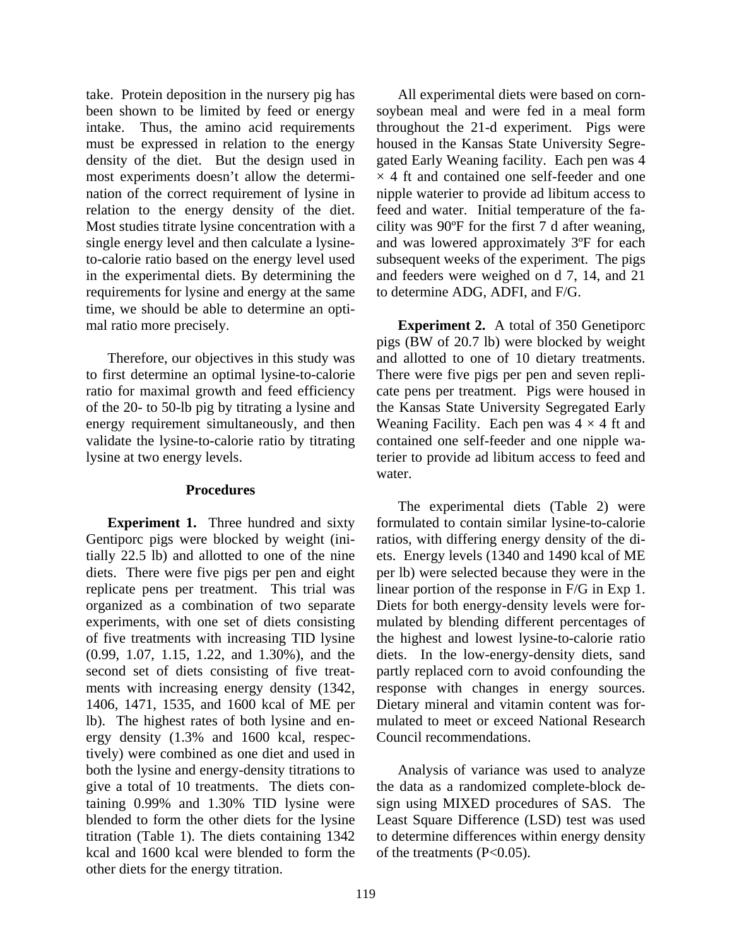take. Protein deposition in the nursery pig has been shown to be limited by feed or energy intake. Thus, the amino acid requirements must be expressed in relation to the energy density of the diet. But the design used in most experiments doesn't allow the determination of the correct requirement of lysine in relation to the energy density of the diet. Most studies titrate lysine concentration with a single energy level and then calculate a lysineto-calorie ratio based on the energy level used in the experimental diets. By determining the requirements for lysine and energy at the same time, we should be able to determine an optimal ratio more precisely.

 Therefore, our objectives in this study was to first determine an optimal lysine-to-calorie ratio for maximal growth and feed efficiency of the 20- to 50-lb pig by titrating a lysine and energy requirement simultaneously, and then validate the lysine-to-calorie ratio by titrating lysine at two energy levels.

## **Procedures**

 **Experiment 1.** Three hundred and sixty Gentiporc pigs were blocked by weight (initially 22.5 lb) and allotted to one of the nine diets. There were five pigs per pen and eight replicate pens per treatment. This trial was organized as a combination of two separate experiments, with one set of diets consisting of five treatments with increasing TID lysine (0.99, 1.07, 1.15, 1.22, and 1.30%), and the second set of diets consisting of five treatments with increasing energy density (1342, 1406, 1471, 1535, and 1600 kcal of ME per lb). The highest rates of both lysine and energy density (1.3% and 1600 kcal, respectively) were combined as one diet and used in both the lysine and energy-density titrations to give a total of 10 treatments. The diets containing 0.99% and 1.30% TID lysine were blended to form the other diets for the lysine titration (Table 1). The diets containing 1342 kcal and 1600 kcal were blended to form the other diets for the energy titration.

 All experimental diets were based on cornsoybean meal and were fed in a meal form throughout the 21-d experiment. Pigs were housed in the Kansas State University Segregated Early Weaning facility. Each pen was 4  $\times$  4 ft and contained one self-feeder and one nipple waterier to provide ad libitum access to feed and water. Initial temperature of the facility was 90ºF for the first 7 d after weaning, and was lowered approximately 3ºF for each subsequent weeks of the experiment. The pigs and feeders were weighed on d 7, 14, and 21 to determine ADG, ADFI, and F/G.

**Experiment 2.** A total of 350 Genetiporc pigs (BW of 20.7 lb) were blocked by weight and allotted to one of 10 dietary treatments. There were five pigs per pen and seven replicate pens per treatment. Pigs were housed in the Kansas State University Segregated Early Weaning Facility. Each pen was  $4 \times 4$  ft and contained one self-feeder and one nipple waterier to provide ad libitum access to feed and water.

 The experimental diets (Table 2) were formulated to contain similar lysine-to-calorie ratios, with differing energy density of the diets. Energy levels (1340 and 1490 kcal of ME per lb) were selected because they were in the linear portion of the response in F/G in Exp 1. Diets for both energy-density levels were formulated by blending different percentages of the highest and lowest lysine-to-calorie ratio diets. In the low-energy-density diets, sand partly replaced corn to avoid confounding the response with changes in energy sources. Dietary mineral and vitamin content was formulated to meet or exceed National Research Council recommendations.

 Analysis of variance was used to analyze the data as a randomized complete-block design using MIXED procedures of SAS. The Least Square Difference (LSD) test was used to determine differences within energy density of the treatments (P<0.05).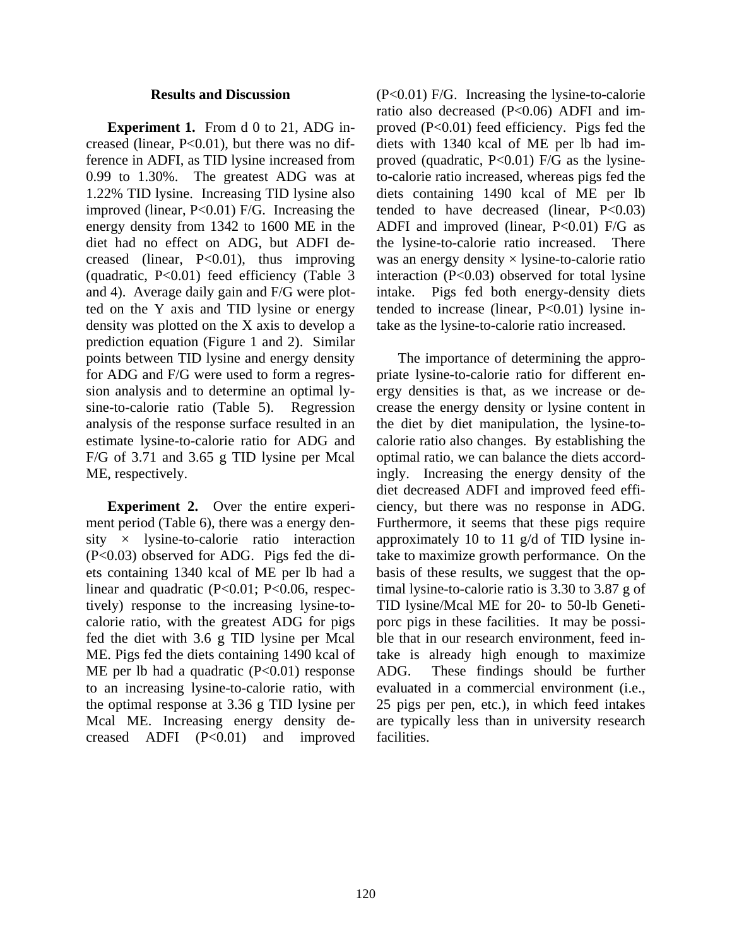### **Results and Discussion**

**Experiment 1.** From d 0 to 21, ADG increased (linear, P<0.01), but there was no difference in ADFI, as TID lysine increased from 0.99 to 1.30%. The greatest ADG was at 1.22% TID lysine. Increasing TID lysine also improved (linear, P<0.01) F/G. Increasing the energy density from 1342 to 1600 ME in the diet had no effect on ADG, but ADFI decreased (linear, P<0.01), thus improving (quadratic, P<0.01) feed efficiency (Table 3 and 4). Average daily gain and F/G were plotted on the Y axis and TID lysine or energy density was plotted on the X axis to develop a prediction equation (Figure 1 and 2). Similar points between TID lysine and energy density for ADG and F/G were used to form a regression analysis and to determine an optimal lysine-to-calorie ratio (Table 5). Regression analysis of the response surface resulted in an estimate lysine-to-calorie ratio for ADG and F/G of 3.71 and 3.65 g TID lysine per Mcal ME, respectively.

**Experiment 2.** Over the entire experiment period (Table 6), there was a energy density  $\times$  lysine-to-calorie ratio interaction (P<0.03) observed for ADG. Pigs fed the diets containing 1340 kcal of ME per lb had a linear and quadratic (P<0.01; P<0.06, respectively) response to the increasing lysine-tocalorie ratio, with the greatest ADG for pigs fed the diet with 3.6 g TID lysine per Mcal ME. Pigs fed the diets containing 1490 kcal of ME per lb had a quadratic  $(P<0.01)$  response to an increasing lysine-to-calorie ratio, with the optimal response at 3.36 g TID lysine per Mcal ME. Increasing energy density decreased ADFI  $(P<0.01)$  and improved

(P<0.01) F/G. Increasing the lysine-to-calorie ratio also decreased (P<0.06) ADFI and improved (P<0.01) feed efficiency. Pigs fed the diets with 1340 kcal of ME per lb had improved (quadratic, P<0.01) F/G as the lysineto-calorie ratio increased, whereas pigs fed the diets containing 1490 kcal of ME per lb tended to have decreased (linear,  $P<0.03$ ) ADFI and improved (linear,  $P<0.01$ ) F/G as the lysine-to-calorie ratio increased. There was an energy density  $\times$  lysine-to-calorie ratio interaction (P<0.03) observed for total lysine intake. Pigs fed both energy-density diets tended to increase (linear, P<0.01) lysine intake as the lysine-to-calorie ratio increased.

 The importance of determining the appropriate lysine-to-calorie ratio for different energy densities is that, as we increase or decrease the energy density or lysine content in the diet by diet manipulation, the lysine-tocalorie ratio also changes. By establishing the optimal ratio, we can balance the diets accordingly. Increasing the energy density of the diet decreased ADFI and improved feed efficiency, but there was no response in ADG. Furthermore, it seems that these pigs require approximately 10 to 11 g/d of TID lysine intake to maximize growth performance. On the basis of these results, we suggest that the optimal lysine-to-calorie ratio is 3.30 to 3.87 g of TID lysine/Mcal ME for 20- to 50-lb Genetiporc pigs in these facilities. It may be possible that in our research environment, feed intake is already high enough to maximize ADG. These findings should be further evaluated in a commercial environment (i.e., 25 pigs per pen, etc.), in which feed intakes are typically less than in university research facilities.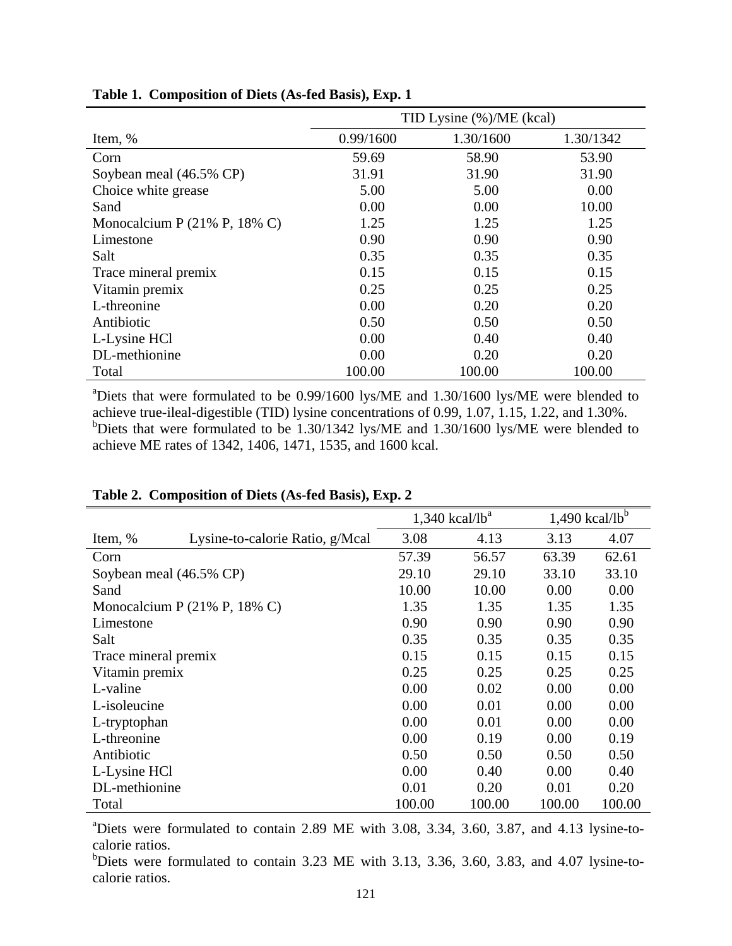|                                                  | TID Lysine (%)/ME (kcal) |           |           |  |  |  |
|--------------------------------------------------|--------------------------|-----------|-----------|--|--|--|
| Item, %                                          | 0.99/1600                | 1.30/1600 | 1.30/1342 |  |  |  |
| Corn                                             | 59.69                    | 58.90     | 53.90     |  |  |  |
| Soybean meal (46.5% CP)                          | 31.91                    | 31.90     | 31.90     |  |  |  |
| Choice white grease                              | 5.00                     | 5.00      | 0.00      |  |  |  |
| Sand                                             | 0.00                     | 0.00      | 10.00     |  |  |  |
| Monocalcium P $(21\% \text{ P}, 18\% \text{ C})$ | 1.25                     | 1.25      | 1.25      |  |  |  |
| Limestone                                        | 0.90                     | 0.90      | 0.90      |  |  |  |
| Salt                                             | 0.35                     | 0.35      | 0.35      |  |  |  |
| Trace mineral premix                             | 0.15                     | 0.15      | 0.15      |  |  |  |
| Vitamin premix                                   | 0.25                     | 0.25      | 0.25      |  |  |  |
| L-threonine                                      | 0.00                     | 0.20      | 0.20      |  |  |  |
| Antibiotic                                       | 0.50                     | 0.50      | 0.50      |  |  |  |
| L-Lysine HCl                                     | 0.00                     | 0.40      | 0.40      |  |  |  |
| DL-methionine                                    | 0.00                     | 0.20      | 0.20      |  |  |  |
| Total                                            | 100.00                   | 100.00    | 100.00    |  |  |  |

**Table 1. Composition of Diets (As-fed Basis), Exp. 1** 

<sup>a</sup>Diets that were formulated to be 0.99/1600 lys/ME and 1.30/1600 lys/ME were blended to achieve true-ileal-digestible (TID) lysine concentrations of 0.99, 1.07, 1.15, 1.22, and 1.30%. <sup>b</sup>Diets that were formulated to be 1.30/1342 lys/ME and 1.30/1600 lys/ME were blended to achieve ME rates of 1342, 1406, 1471, 1535, and 1600 kcal.

|                         |                                                  |        | $1,340$ kcal/lb <sup>a</sup> | $1,490$ kcal/lb <sup>b</sup> |        |
|-------------------------|--------------------------------------------------|--------|------------------------------|------------------------------|--------|
| Item, %                 | Lysine-to-calorie Ratio, g/Mcal                  | 3.08   | 4.13                         | 3.13                         | 4.07   |
| Corn                    |                                                  | 57.39  | 56.57                        | 63.39                        | 62.61  |
| Soybean meal (46.5% CP) |                                                  | 29.10  | 29.10                        | 33.10                        | 33.10  |
| Sand                    |                                                  | 10.00  | 10.00                        | 0.00                         | 0.00   |
|                         | Monocalcium P $(21\% \text{ P}, 18\% \text{ C})$ | 1.35   | 1.35                         | 1.35                         | 1.35   |
| Limestone               |                                                  | 0.90   | 0.90                         | 0.90                         | 0.90   |
| Salt                    |                                                  | 0.35   | 0.35                         | 0.35                         | 0.35   |
| Trace mineral premix    |                                                  | 0.15   | 0.15                         | 0.15                         | 0.15   |
| Vitamin premix          |                                                  | 0.25   | 0.25                         | 0.25                         | 0.25   |
| L-valine                |                                                  | 0.00   | 0.02                         | 0.00                         | 0.00   |
| L-isoleucine            |                                                  | 0.00   | 0.01                         | 0.00                         | 0.00   |
| L-tryptophan            |                                                  | 0.00   | 0.01                         | 0.00                         | 0.00   |
| L-threonine             |                                                  | 0.00   | 0.19                         | 0.00                         | 0.19   |
| Antibiotic              |                                                  | 0.50   | 0.50                         | 0.50                         | 0.50   |
| L-Lysine HCl            |                                                  | 0.00   | 0.40                         | 0.00                         | 0.40   |
| DL-methionine           |                                                  | 0.01   | 0.20                         | 0.01                         | 0.20   |
| Total                   |                                                  | 100.00 | 100.00                       | 100.00                       | 100.00 |

# **Table 2. Composition of Diets (As-fed Basis), Exp. 2**

<sup>a</sup>Diets were formulated to contain 2.89 ME with 3.08, 3.34, 3.60, 3.87, and 4.13 lysine-tocalorie ratios.

<sup>b</sup>Diets were formulated to contain 3.23 ME with 3.13, 3.36, 3.60, 3.83, and 4.07 lysine-tocalorie ratios.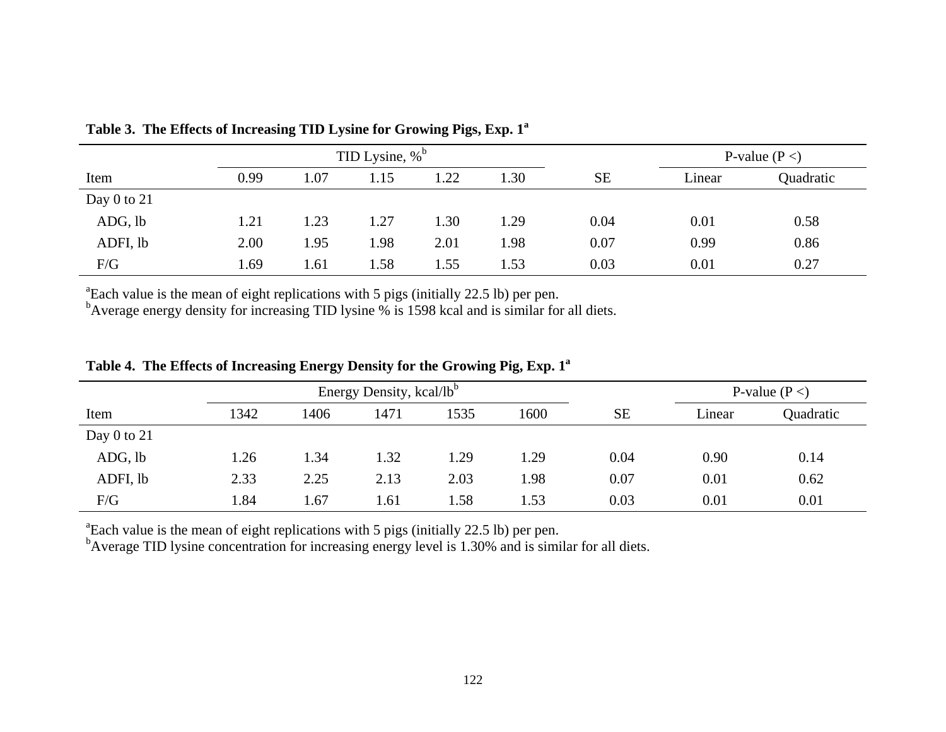|                 | TID Lysine, $\%$ <sup>b</sup> |      |      |      |      |           | P-value $(P <)$ |           |  |
|-----------------|-------------------------------|------|------|------|------|-----------|-----------------|-----------|--|
| Item            | 0.99                          | 1.07 | 1.15 | 1.22 | 1.30 | <b>SE</b> | Linear          | Quadratic |  |
| Day $0$ to $21$ |                               |      |      |      |      |           |                 |           |  |
| ADG, lb         | 1.21                          | 1.23 | 1.27 | 1.30 | 1.29 | 0.04      | 0.01            | 0.58      |  |
| ADFI, lb        | 2.00                          | 1.95 | 1.98 | 2.01 | 1.98 | 0.07      | 0.99            | 0.86      |  |
| F/G             | 1.69                          | 1.61 | 1.58 | 1.55 | 1.53 | 0.03      | 0.01            | 0.27      |  |

Table 3. The Effects of Increasing TID Lysine for Growing Pigs, Exp. 1<sup>a</sup>

<sup>a</sup>Each value is the mean of eight replications with 5 pigs (initially 22.5 lb) per pen.

 $b$ Average energy density for increasing TID lysine % is 1598 kcal and is similar for all diets.

|               | Energy Density, kcal/lb <sup>b</sup> |      |      |      |      |           |        | P-value $(P <)$ |
|---------------|--------------------------------------|------|------|------|------|-----------|--------|-----------------|
| Item          | 1342                                 | 1406 | 1471 | 1535 | 1600 | <b>SE</b> | Linear | Quadratic       |
| Day 0 to $21$ |                                      |      |      |      |      |           |        |                 |
| ADG, lb       | 1.26                                 | 1.34 | 1.32 | 1.29 | 1.29 | 0.04      | 0.90   | 0.14            |
| ADFI, lb      | 2.33                                 | 2.25 | 2.13 | 2.03 | 1.98 | 0.07      | 0.01   | 0.62            |
| F/G           | . 84                                 | .67  | 1.61 | 1.58 | 1.53 | 0.03      | 0.01   | 0.01            |

Table 4. The Effects of Increasing Energy Density for the Growing Pig, Exp. 1<sup>a</sup>

<sup>a</sup>Each value is the mean of eight replications with 5 pigs (initially 22.5 lb) per pen.

<sup>b</sup>Average TID lysine concentration for increasing energy level is 1.30% and is similar for all diets.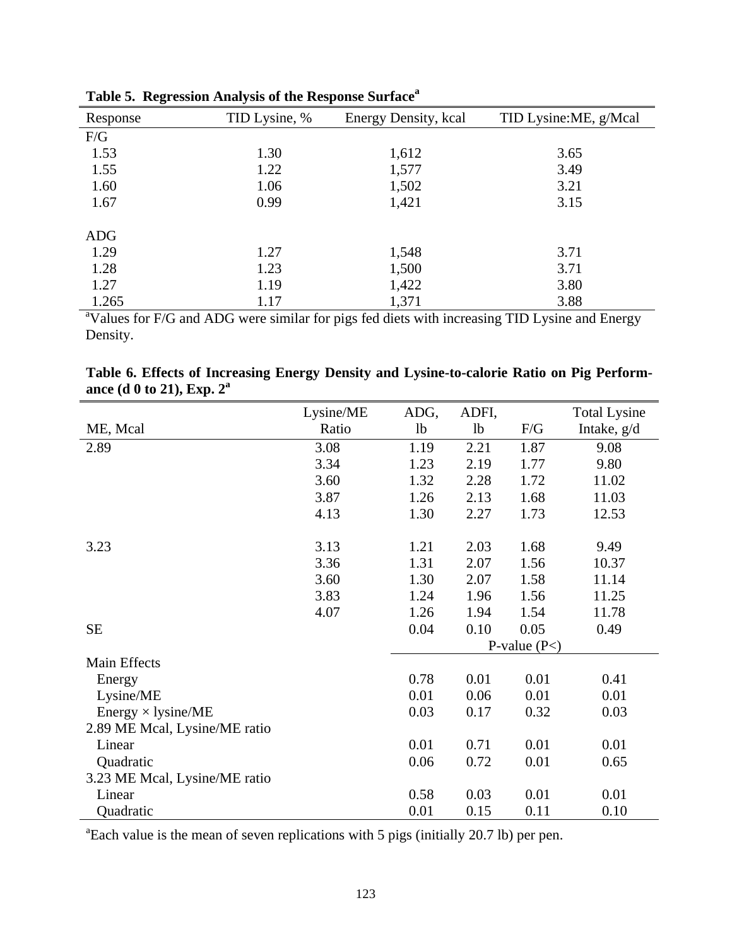| o          |               |                      |                       |
|------------|---------------|----------------------|-----------------------|
| Response   | TID Lysine, % | Energy Density, kcal | TID Lysine:ME, g/Mcal |
| F/G        |               |                      |                       |
| 1.53       | 1.30          | 1,612                | 3.65                  |
| 1.55       | 1.22          | 1,577                | 3.49                  |
| 1.60       | 1.06          | 1,502                | 3.21                  |
| 1.67       | 0.99          | 1,421                | 3.15                  |
| <b>ADG</b> |               |                      |                       |
| 1.29       | 1.27          | 1,548                | 3.71                  |
| 1.28       | 1.23          | 1,500                | 3.71                  |
| 1.27       | 1.19          | 1,422                | 3.80                  |
| 1.265      | 1.17          | 1,371                | 3.88                  |

**Table 5. Regression Analysis of the Response Surface<sup>a</sup>**

1.265 1.17 1,371 3.88<br>
<sup>a</sup>Values for F/G and ADG were similar for pigs fed diets with increasing TID Lysine and Energy Density.

|                              | Table 6. Effects of Increasing Energy Density and Lysine-to-calorie Ratio on Pig Perform- |  |  |  |  |
|------------------------------|-------------------------------------------------------------------------------------------|--|--|--|--|
| ance (d 0 to 21), Exp. $2^a$ |                                                                                           |  |  |  |  |

|                               | Lysine/ME | ADG,           | ADFI,          |                | <b>Total Lysine</b> |
|-------------------------------|-----------|----------------|----------------|----------------|---------------------|
| ME, Mcal                      | Ratio     | 1 <sub>b</sub> | 1 <sub>b</sub> | F/G            | Intake, g/d         |
| 2.89                          | 3.08      | 1.19           | 2.21           | 1.87           | 9.08                |
|                               | 3.34      | 1.23           | 2.19           | 1.77           | 9.80                |
|                               | 3.60      | 1.32           | 2.28           | 1.72           | 11.02               |
|                               | 3.87      | 1.26           | 2.13           | 1.68           | 11.03               |
|                               | 4.13      | 1.30           | 2.27           | 1.73           | 12.53               |
|                               |           |                |                |                |                     |
| 3.23                          | 3.13      | 1.21           | 2.03           | 1.68           | 9.49                |
|                               | 3.36      | 1.31           | 2.07           | 1.56           | 10.37               |
|                               | 3.60      | 1.30           | 2.07           | 1.58           | 11.14               |
|                               | 3.83      | 1.24           | 1.96           | 1.56           | 11.25               |
|                               | 4.07      | 1.26           | 1.94           | 1.54           | 11.78               |
| <b>SE</b>                     |           | 0.04           | 0.10           | 0.05           | 0.49                |
|                               |           |                |                | P-value $(P<)$ |                     |
| Main Effects                  |           |                |                |                |                     |
| Energy                        |           | 0.78           | 0.01           | 0.01           | 0.41                |
| Lysine/ME                     |           | 0.01           | 0.06           | 0.01           | 0.01                |
| Energy $\times$ lysine/ME     |           | 0.03           | 0.17           | 0.32           | 0.03                |
| 2.89 ME Mcal, Lysine/ME ratio |           |                |                |                |                     |
| Linear                        |           | 0.01           | 0.71           | 0.01           | 0.01                |
| Quadratic                     |           | 0.06           | 0.72           | 0.01           | 0.65                |
| 3.23 ME Mcal, Lysine/ME ratio |           |                |                |                |                     |
| Linear                        |           | 0.58           | 0.03           | 0.01           | 0.01                |
| Quadratic                     |           | 0.01           | 0.15           | 0.11           | 0.10                |

<sup>a</sup>Each value is the mean of seven replications with 5 pigs (initially 20.7 lb) per pen.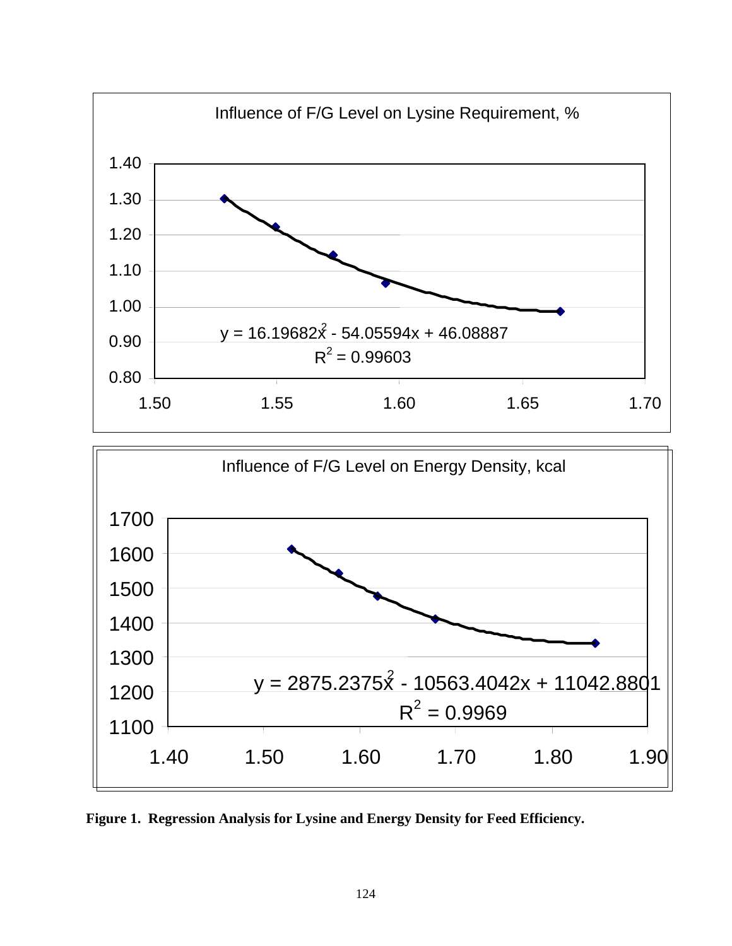

**Figure 1. Regression Analysis for Lysine and Energy Density for Feed Efficiency.**